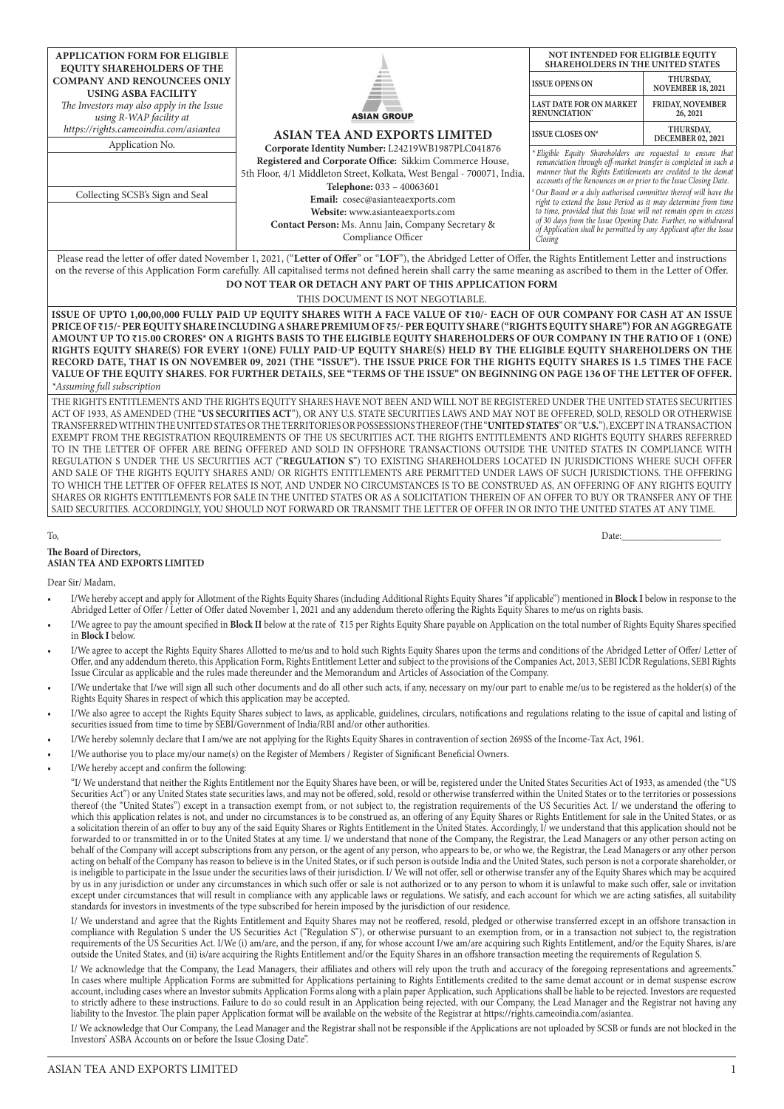| <b>APPLICATION FORM FOR ELIGIBLE</b><br><b>EQUITY SHAREHOLDERS OF THE</b>                   |                                                                                                                                                                                                                                                                                                                                                                                                                                                                                                                                                                                                                                                                                                                                                                            | NOT INTENDED FOR ELIGIBLE EQUITY<br><b>SHAREHOLDERS IN THE UNITED STATES</b>                                                                                                                                                                                                                                                                            |                                       |  |  |  |  |  |  |  |  |
|---------------------------------------------------------------------------------------------|----------------------------------------------------------------------------------------------------------------------------------------------------------------------------------------------------------------------------------------------------------------------------------------------------------------------------------------------------------------------------------------------------------------------------------------------------------------------------------------------------------------------------------------------------------------------------------------------------------------------------------------------------------------------------------------------------------------------------------------------------------------------------|---------------------------------------------------------------------------------------------------------------------------------------------------------------------------------------------------------------------------------------------------------------------------------------------------------------------------------------------------------|---------------------------------------|--|--|--|--|--|--|--|--|
| <b>COMPANY AND RENOUNCEES ONLY</b><br><b>USING ASBA FACILITY</b>                            |                                                                                                                                                                                                                                                                                                                                                                                                                                                                                                                                                                                                                                                                                                                                                                            | <b>ISSUE OPENS ON</b>                                                                                                                                                                                                                                                                                                                                   | THURSDAY,<br><b>NOVEMBER 18, 2021</b> |  |  |  |  |  |  |  |  |
| The Investors may also apply in the Issue<br>using R-WAP facility at                        | <b>ASIAN GROUP</b>                                                                                                                                                                                                                                                                                                                                                                                                                                                                                                                                                                                                                                                                                                                                                         | <b>LAST DATE FOR ON MARKET</b><br>RENUNCIATION'                                                                                                                                                                                                                                                                                                         | <b>FRIDAY, NOVEMBER</b><br>26, 2021   |  |  |  |  |  |  |  |  |
| https://rights.cameoindia.com/asiantea                                                      | <b>ASIAN TEA AND EXPORTS LIMITED</b>                                                                                                                                                                                                                                                                                                                                                                                                                                                                                                                                                                                                                                                                                                                                       | <b>ISSUE CLOSES ON*</b>                                                                                                                                                                                                                                                                                                                                 | THURSDAY,<br>DECEMBER 02, 2021        |  |  |  |  |  |  |  |  |
| Application No.                                                                             | Corporate Identity Number: L24219WB1987PLC041876<br>Registered and Corporate Office: Sikkim Commerce House,<br>5th Floor, 4/1 Middleton Street, Kolkata, West Bengal - 700071, India.                                                                                                                                                                                                                                                                                                                                                                                                                                                                                                                                                                                      | *Eligible Equity Shareholders are requested to ensure that<br>renunciation through off-market transfer is completed in such a<br>manner that the Rights Entitlements are credited to the demat<br>accounts of the Renounces on or prior to the Issue Closing Date.                                                                                      |                                       |  |  |  |  |  |  |  |  |
| Collecting SCSB's Sign and Seal                                                             | Telephone: 033 - 40063601<br>Email: cosec@asianteaexports.com<br>Website: www.asianteaexports.com<br>Contact Person: Ms. Annu Jain, Company Secretary &<br>Compliance Officer                                                                                                                                                                                                                                                                                                                                                                                                                                                                                                                                                                                              | Our Board or a duly authorised committee thereof will have the<br>right to extend the Issue Period as it may determine from time<br>to time, provided that this Issue will not remain open in excess<br>of 30 days from the Issue Opening Date. Further, no withdrawal<br>of Application shall be permitted by any Applicant after the Issue<br>Closing |                                       |  |  |  |  |  |  |  |  |
|                                                                                             | Please read the letter of offer dated November 1, 2021, ("Letter of Offer" or "LOF"), the Abridged Letter of Offer, the Rights Entitlement Letter and instructions<br>on the reverse of this Application Form carefully. All capitalised terms not defined herein shall carry the same meaning as ascribed to them in the Letter of Offer.                                                                                                                                                                                                                                                                                                                                                                                                                                 |                                                                                                                                                                                                                                                                                                                                                         |                                       |  |  |  |  |  |  |  |  |
| DO NOT TEAR OR DETACH ANY PART OF THIS APPLICATION FORM<br>THIS DOCUMENT IS NOT NEGOTIABLE. |                                                                                                                                                                                                                                                                                                                                                                                                                                                                                                                                                                                                                                                                                                                                                                            |                                                                                                                                                                                                                                                                                                                                                         |                                       |  |  |  |  |  |  |  |  |
| *Assuming full subscription                                                                 | ISSUE OF UPTO 1,00,00,000 FULLY PAID UP EQUITY SHARES WITH A FACE VALUE OF ₹10/- EACH OF OUR COMPANY FOR CASH AT AN ISSUE<br>PRICE OF ₹15/- PER EQUITY SHARE INCLUDING A SHARE PREMIUM OF ₹5/- PER EQUITY SHARE ("RIGHTS EQUITY SHARE") FOR AN AGGREGATE<br>AMOUNT UP TO ₹15.00 CRORES* ON A RIGHTS BASIS TO THE ELIGIBLE EQUITY SHAREHOLDERS OF OUR COMPANY IN THE RATIO OF 1 (ONE)<br>RIGHTS EQUITY SHARE(S) FOR EVERY 1(ONE) FULLY PAID-UP EQUITY SHARE(S) HELD BY THE ELIGIBLE EQUITY SHAREHOLDERS ON THE<br>RECORD DATE, THAT IS ON NOVEMBER 09, 2021 (THE "ISSUE"). THE ISSUE PRICE FOR THE RIGHTS EQUITY SHARES IS 1.5 TIMES THE FACE<br>VALUE OF THE EQUITY SHARES. FOR FURTHER DETAILS, SEE "TERMS OF THE ISSUE" ON BEGINNING ON PAGE 136 OF THE LETTER OF OFFER. |                                                                                                                                                                                                                                                                                                                                                         |                                       |  |  |  |  |  |  |  |  |
|                                                                                             | THE RIGHTS ENTITLEMENTS AND THE RIGHTS EQUITY SHARES HAVE NOT BEEN AND WILL NOT BE REGISTERED UNDER THE UNITED STATES SECURITIES<br>ACT OF 1933, AS AMENDED (THE "US SECURITIES ACT"), OR ANY U.S. STATE SECURITIES LAWS AND MAY NOT BE OFFERED, SOLD, RESOLD OR OTHERWISE<br>TRANSFERRED WITHIN THE UNITED STATES OR THE TERRITORIES OR POSSESSIONS THEREOF (THE <b>"UNITED STATES"</b> OR <b>"U.S."</b> ), EXCEPT IN A TRANSACTION<br>EXEMPT FROM THE REGISTRATION REOUIREMENTS OF THE US SECURITIES ACT. THE RIGHTS ENTITLEMENTS AND RIGHTS EOUITY SHARES REFERRED                                                                                                                                                                                                      |                                                                                                                                                                                                                                                                                                                                                         |                                       |  |  |  |  |  |  |  |  |

EXEMPT FROM THE REGISTRATION REQUIREMENTS OF THE US SECURITIES ACT. THE RIGHTS ENTITLEMENTS AND RIGHTS EQUITY SHARES REFERRED TO IN THE LETTER OF OFFER ARE BEING OFFERED AND SOLD IN OFFSHORE TRANSACTIONS OUTSIDE THE UNITED STATES IN COMPLIANCE WITH REGULATION S UNDER THE US SECURITIES ACT ("**REGULATION S**") TO EXISTING SHAREHOLDERS LOCATED IN JURISDICTIONS WHERE SUCH OFFER AND SALE OF THE RIGHTS EQUITY SHARES AND/ OR RIGHTS ENTITLEMENTS ARE PERMITTED UNDER LAWS OF SUCH JURISDICTIONS. THE OFFERING TO WHICH THE LETTER OF OFFER RELATES IS NOT, AND UNDER NO CIRCUMSTANCES IS TO BE CONSTRUED AS, AN OFFERING OF ANY RIGHTS EQUITY SHARES OR RIGHTS ENTITLEMENTS FOR SALE IN THE UNITED STATES OR AS A SOLICITATION THEREIN OF AN OFFER TO BUY OR TRANSFER ANY OF THE SAID SECURITIES. ACCORDINGLY, YOU SHOULD NOT FORWARD OR TRANSMIT THE LETTER OF OFFER IN OR INTO THE UNITED STATES AT ANY TIME.

### To, Date:\_\_\_\_\_\_\_\_\_\_\_\_\_\_\_\_\_\_\_\_\_

#### **The Board of Directors, ASIAN TEA AND EXPORTS LIMITED**

Dear Sir/ Madam,

- I/We hereby accept and apply for Allotment of the Rights Equity Shares (including Additional Rights Equity Shares "if applicable") mentioned in **Block I** below in response to the Abridged Letter of Offer / Letter of Offer dated November 1, 2021 and any addendum thereto offering the Rights Equity Shares to me/us on rights basis.
- I/We agree to pay the amount specified in Block II below at the rate of ₹15 per Rights Equity Share payable on Application on the total number of Rights Equity Shares specified in **Block I** below.
- I/We agree to accept the Rights Equity Shares Allotted to me/us and to hold such Rights Equity Shares upon the terms and conditions of the Abridged Letter of Offer/ Letter of Offer, and any addendum thereto, this Application Form, Rights Entitlement Letter and subject to the provisions of the Companies Act, 2013, SEBI ICDR Regulations, SEBI Rights Issue Circular as applicable and the rules made thereunder and the Memorandum and Articles of Association of the Company.
- I/We undertake that I/we will sign all such other documents and do all other such acts, if any, necessary on my/our part to enable me/us to be registered as the holder(s) of the Rights Equity Shares in respect of which this application may be accepted.
- I/We also agree to accept the Rights Equity Shares subject to laws, as applicable, guidelines, circulars, notifications and regulations relating to the issue of capital and listing of securities issued from time to time by  $\overline{\text{SEBI}}$ /Government of India/RBI and/or other authorities.
- • I/We hereby solemnly declare that I am/we are not applying for the Rights Equity Shares in contravention of section 269SS of the Income-Tax Act, 1961.
- I/We authorise you to place my/our name(s) on the Register of Members / Register of Significant Beneficial Owners.
- I/We hereby accept and confirm the following:

"I/ We understand that neither the Rights Entitlement nor the Equity Shares have been, or will be, registered under the United States Securities Act of 1933, as amended (the "US Securities Act") or any United States state securities laws, and may not be offered, sold, resold or otherwise transferred within the United States or to the territories or possessions thereof (the "United States") except in a transaction exempt from, or not subject to, the registration requirements of the US Securities Act. I/ we understand the offering to which this application relates is not, and under no circumstances is to be construed as, an offering of any Equity Shares or Rights Entitlement for sale in the United States, or as a solicitation therein of an offer to buy any of the said Equity Shares or Rights Entitlement in the United States. Accordingly, I/ we understand that this application should not be forwarded to or transmitted in or to the United States at any time. I/ we understand that none of the Company, the Registrar, the Lead Managers or any other person acting on behalf of the Company will accept subscriptions from any person, or the agent of any person, who appears to be, or who we, the Registrar, the Lead Managers or any other person acting on behalf of the Company has reason to believe is in the United States, or if such person is outside India and the United States, such person is not a corporate shareholder, or is ineligible to participate in the Issue under the securities laws of their jurisdiction. I/ We will not offer, sell or otherwise transfer any of the Equity Shares which may be acquired by us in any jurisdiction or under any circumstances in which such offer or sale is not authorized or to any person to whom it is unlawful to make such offer, sale or invitation except under circumstances that will result in compliance with any applicable laws or regulations. We satisfy, and each account for which we are acting satisfies, all suitability standards for investors in investments of the type subscribed for herein imposed by the jurisdiction of our residence.

I/ We understand and agree that the Rights Entitlement and Equity Shares may not be reoffered, resold, pledged or otherwise transferred except in an offshore transaction in compliance with Regulation S under the US Securities Act ("Regulation S"), or otherwise pursuant to an exemption from, or in a transaction not subject to, the registration requirements of the US Securities Act. I/We (i) am/are, and the person, if any, for whose account I/we am/are acquiring such Rights Entitlement, and/or the Equity Shares, is/are outside the United States, and (ii) is/are acquiring the Rights Entitlement and/or the Equity Shares in an offshore transaction meeting the requirements of Regulation S.

I/ We acknowledge that the Company, the Lead Managers, their affiliates and others will rely upon the truth and accuracy of the foregoing representations and agreements." In cases where multiple Application Forms are submitted for Applications pertaining to Rights Entitlements credited to the same demat account or in demat suspense escrow account, including cases where an Investor submits Application Forms along with a plain paper Application, such Applications shall be liable to be rejected. Investors are requested to strictly adhere to these instructions. Failure to do so could result in an Application being rejected, with our Company, the Lead Manager and the Registrar not having any liability to the Investor. The plain paper Application format will be available on the website of the Registrar at https://rights.cameoindia.com/asiantea.

I/ We acknowledge that Our Company, the Lead Manager and the Registrar shall not be responsible if the Applications are not uploaded by SCSB or funds are not blocked in the Investors' ASBA Accounts on or before the Issue Closing Date".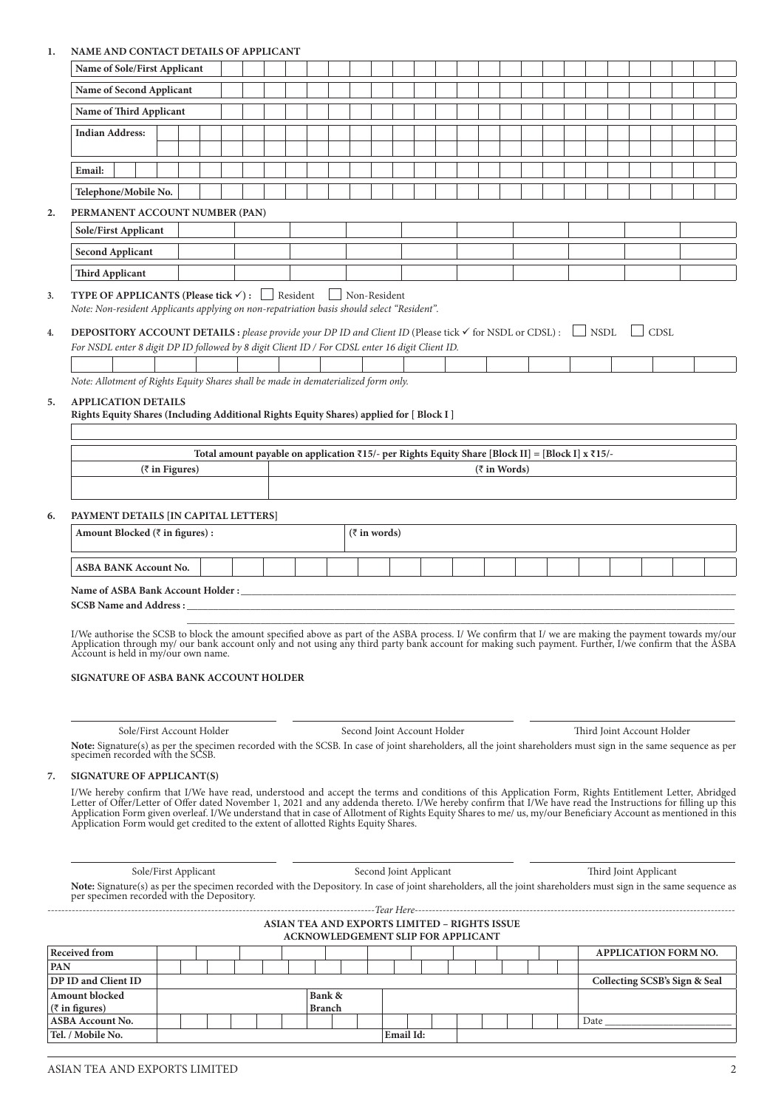# **1. NAME AND CONTACT DETA**

| ı.  | NAME AND CONTACT DETAILS OF APPLICANT                                                                                                                                                                                                                                                                                                                                                                                                                                                                                                                                         |                |                                                                                                                              |  |                                              |               |                                           |  |                        |  |                      |  |  |  |                               |  |  |
|-----|-------------------------------------------------------------------------------------------------------------------------------------------------------------------------------------------------------------------------------------------------------------------------------------------------------------------------------------------------------------------------------------------------------------------------------------------------------------------------------------------------------------------------------------------------------------------------------|----------------|------------------------------------------------------------------------------------------------------------------------------|--|----------------------------------------------|---------------|-------------------------------------------|--|------------------------|--|----------------------|--|--|--|-------------------------------|--|--|
|     | Name of Sole/First Applicant                                                                                                                                                                                                                                                                                                                                                                                                                                                                                                                                                  |                |                                                                                                                              |  |                                              |               |                                           |  |                        |  |                      |  |  |  |                               |  |  |
|     | Name of Second Applicant                                                                                                                                                                                                                                                                                                                                                                                                                                                                                                                                                      |                |                                                                                                                              |  |                                              |               |                                           |  |                        |  |                      |  |  |  |                               |  |  |
|     | Name of Third Applicant                                                                                                                                                                                                                                                                                                                                                                                                                                                                                                                                                       |                |                                                                                                                              |  |                                              |               |                                           |  |                        |  |                      |  |  |  |                               |  |  |
|     | <b>Indian Address:</b>                                                                                                                                                                                                                                                                                                                                                                                                                                                                                                                                                        |                |                                                                                                                              |  |                                              |               |                                           |  |                        |  |                      |  |  |  |                               |  |  |
|     |                                                                                                                                                                                                                                                                                                                                                                                                                                                                                                                                                                               |                |                                                                                                                              |  |                                              |               |                                           |  |                        |  |                      |  |  |  |                               |  |  |
|     | Email:                                                                                                                                                                                                                                                                                                                                                                                                                                                                                                                                                                        |                |                                                                                                                              |  |                                              |               |                                           |  |                        |  |                      |  |  |  |                               |  |  |
|     | Telephone/Mobile No.                                                                                                                                                                                                                                                                                                                                                                                                                                                                                                                                                          |                |                                                                                                                              |  |                                              |               |                                           |  |                        |  |                      |  |  |  |                               |  |  |
|     |                                                                                                                                                                                                                                                                                                                                                                                                                                                                                                                                                                               |                |                                                                                                                              |  |                                              |               |                                           |  |                        |  |                      |  |  |  |                               |  |  |
| 2.  | PERMANENT ACCOUNT NUMBER (PAN)<br><b>Sole/First Applicant</b>                                                                                                                                                                                                                                                                                                                                                                                                                                                                                                                 |                |                                                                                                                              |  |                                              |               |                                           |  |                        |  |                      |  |  |  |                               |  |  |
|     |                                                                                                                                                                                                                                                                                                                                                                                                                                                                                                                                                                               |                |                                                                                                                              |  |                                              |               |                                           |  |                        |  |                      |  |  |  |                               |  |  |
|     | <b>Second Applicant</b>                                                                                                                                                                                                                                                                                                                                                                                                                                                                                                                                                       |                |                                                                                                                              |  |                                              |               |                                           |  |                        |  |                      |  |  |  |                               |  |  |
|     | <b>Third Applicant</b>                                                                                                                                                                                                                                                                                                                                                                                                                                                                                                                                                        |                |                                                                                                                              |  |                                              |               |                                           |  |                        |  |                      |  |  |  |                               |  |  |
| 3.  | <b>TYPE OF APPLICANTS (Please tick <math>\checkmark</math>):</b> Resident<br>Note: Non-resident Applicants applying on non-repatriation basis should select "Resident".                                                                                                                                                                                                                                                                                                                                                                                                       |                |                                                                                                                              |  |                                              |               | Non-Resident                              |  |                        |  |                      |  |  |  |                               |  |  |
| 4.  | <b>DEPOSITORY ACCOUNT DETAILS</b> : please provide your DP ID and Client ID (Please tick $\checkmark$ for NSDL or CDSL):                                                                                                                                                                                                                                                                                                                                                                                                                                                      |                |                                                                                                                              |  |                                              |               |                                           |  |                        |  |                      |  |  |  | CDSL                          |  |  |
|     | For NSDL enter 8 digit DP ID followed by 8 digit Client ID / For CDSL enter 16 digit Client ID.                                                                                                                                                                                                                                                                                                                                                                                                                                                                               |                |                                                                                                                              |  |                                              |               |                                           |  |                        |  |                      |  |  |  |                               |  |  |
|     |                                                                                                                                                                                                                                                                                                                                                                                                                                                                                                                                                                               |                |                                                                                                                              |  |                                              |               |                                           |  |                        |  |                      |  |  |  |                               |  |  |
|     | Note: Allotment of Rights Equity Shares shall be made in dematerialized form only.                                                                                                                                                                                                                                                                                                                                                                                                                                                                                            |                |                                                                                                                              |  |                                              |               |                                           |  |                        |  |                      |  |  |  |                               |  |  |
| 5.  | <b>APPLICATION DETAILS</b><br>Rights Equity Shares (Including Additional Rights Equity Shares) applied for [Block I]                                                                                                                                                                                                                                                                                                                                                                                                                                                          |                |                                                                                                                              |  |                                              |               |                                           |  |                        |  |                      |  |  |  |                               |  |  |
|     |                                                                                                                                                                                                                                                                                                                                                                                                                                                                                                                                                                               |                |                                                                                                                              |  |                                              |               |                                           |  |                        |  |                      |  |  |  |                               |  |  |
|     |                                                                                                                                                                                                                                                                                                                                                                                                                                                                                                                                                                               |                | Total amount payable on application $\overline{x}$ 15/- per Rights Equity Share [Block II] = [Block I] x $\overline{x}$ 15/- |  |                                              |               |                                           |  |                        |  |                      |  |  |  |                               |  |  |
|     |                                                                                                                                                                                                                                                                                                                                                                                                                                                                                                                                                                               | (₹ in Figures) |                                                                                                                              |  |                                              |               |                                           |  |                        |  | $(\bar{z}$ in Words) |  |  |  |                               |  |  |
|     |                                                                                                                                                                                                                                                                                                                                                                                                                                                                                                                                                                               |                |                                                                                                                              |  |                                              |               |                                           |  |                        |  |                      |  |  |  |                               |  |  |
| 6.  | PAYMENT DETAILS [IN CAPITAL LETTERS]                                                                                                                                                                                                                                                                                                                                                                                                                                                                                                                                          |                |                                                                                                                              |  |                                              |               |                                           |  |                        |  |                      |  |  |  |                               |  |  |
|     | Amount Blocked ( $\bar{\tau}$ in figures) :                                                                                                                                                                                                                                                                                                                                                                                                                                                                                                                                   |                |                                                                                                                              |  |                                              |               | $(\bar{z}$ in words)                      |  |                        |  |                      |  |  |  |                               |  |  |
|     |                                                                                                                                                                                                                                                                                                                                                                                                                                                                                                                                                                               |                |                                                                                                                              |  |                                              |               |                                           |  |                        |  |                      |  |  |  |                               |  |  |
|     | <b>ASBA BANK Account No.</b>                                                                                                                                                                                                                                                                                                                                                                                                                                                                                                                                                  |                |                                                                                                                              |  |                                              |               |                                           |  |                        |  |                      |  |  |  |                               |  |  |
|     | Name of ASBA Bank Account Holder : Name of ASBA Bank Account Holder :                                                                                                                                                                                                                                                                                                                                                                                                                                                                                                         |                |                                                                                                                              |  |                                              |               |                                           |  |                        |  |                      |  |  |  |                               |  |  |
|     | <b>SCSB Name and Address :__</b>                                                                                                                                                                                                                                                                                                                                                                                                                                                                                                                                              |                |                                                                                                                              |  |                                              |               |                                           |  |                        |  |                      |  |  |  |                               |  |  |
|     | I/We authorise the SCSB to block the amount specified above as part of the ASBA process. I/We confirm that I/we are making the payment towards my/our<br>Application through my/ our bank account only and not using any third party bank account for making such payment. Further, I/we confirm that the ASBA<br>Account is held in my/our own name.<br>SIGNATURE OF ASBA BANK ACCOUNT HOLDER                                                                                                                                                                                |                |                                                                                                                              |  |                                              |               |                                           |  |                        |  |                      |  |  |  |                               |  |  |
|     | Sole/First Account Holder                                                                                                                                                                                                                                                                                                                                                                                                                                                                                                                                                     |                |                                                                                                                              |  |                                              |               | Second Joint Account Holder               |  |                        |  |                      |  |  |  | Third Joint Account Holder    |  |  |
|     | Note: Signature(s) as per the specimen recorded with the SCSB. In case of joint shareholders, all the joint shareholders must sign in the same sequence as per                                                                                                                                                                                                                                                                                                                                                                                                                |                |                                                                                                                              |  |                                              |               |                                           |  |                        |  |                      |  |  |  |                               |  |  |
|     | specimen recorded with the SCSB.                                                                                                                                                                                                                                                                                                                                                                                                                                                                                                                                              |                |                                                                                                                              |  |                                              |               |                                           |  |                        |  |                      |  |  |  |                               |  |  |
| 7.  | SIGNATURE OF APPLICANT(S)                                                                                                                                                                                                                                                                                                                                                                                                                                                                                                                                                     |                |                                                                                                                              |  |                                              |               |                                           |  |                        |  |                      |  |  |  |                               |  |  |
|     | I/We hereby confirm that I/We have read, understood and accept the terms and conditions of this Application Form, Rights Entitlement Letter, Abridged<br>Letter of Offer/Letter of Offer dated November 1, 2021 and any addenda thereto. I/We hereby confirm that I/We have read the Instructions for filling up this<br>Application Form given overleaf. I/We understand that in case of Allotment of Rights Equity Shares to me/ us, my/our Beneficiary Account as mentioned in this<br>Application Form would get credited to the extent of allotted Rights Equity Shares. |                |                                                                                                                              |  |                                              |               |                                           |  |                        |  |                      |  |  |  |                               |  |  |
|     |                                                                                                                                                                                                                                                                                                                                                                                                                                                                                                                                                                               |                |                                                                                                                              |  |                                              |               |                                           |  |                        |  |                      |  |  |  |                               |  |  |
|     | Sole/First Applicant<br>Note: Signature(s) as per the specimen recorded with the Depository. In case of joint shareholders, all the joint shareholders must sign in the same sequence as<br>per specimen recorded with the Depository.                                                                                                                                                                                                                                                                                                                                        |                |                                                                                                                              |  |                                              |               |                                           |  | Second Joint Applicant |  |                      |  |  |  | Third Joint Applicant         |  |  |
|     |                                                                                                                                                                                                                                                                                                                                                                                                                                                                                                                                                                               |                |                                                                                                                              |  | ASIAN TEA AND EXPORTS LIMITED - RIGHTS ISSUE |               | <b>ACKNOWLEDGEMENT SLIP FOR APPLICANT</b> |  |                        |  |                      |  |  |  |                               |  |  |
|     | <b>Received from</b>                                                                                                                                                                                                                                                                                                                                                                                                                                                                                                                                                          |                |                                                                                                                              |  |                                              |               |                                           |  |                        |  |                      |  |  |  | APPLICATION FORM NO.          |  |  |
| PAN |                                                                                                                                                                                                                                                                                                                                                                                                                                                                                                                                                                               |                |                                                                                                                              |  |                                              |               |                                           |  |                        |  |                      |  |  |  |                               |  |  |
|     | DP ID and Client ID<br>Amount blocked                                                                                                                                                                                                                                                                                                                                                                                                                                                                                                                                         |                |                                                                                                                              |  |                                              | Bank &        |                                           |  |                        |  |                      |  |  |  | Collecting SCSB's Sign & Seal |  |  |
|     | $(\overline{\zeta}$ in figures)                                                                                                                                                                                                                                                                                                                                                                                                                                                                                                                                               |                |                                                                                                                              |  |                                              | <b>Branch</b> |                                           |  |                        |  |                      |  |  |  |                               |  |  |

**ASBA Account No.** Date \_\_\_\_\_\_\_\_\_\_\_\_\_\_\_\_\_\_\_\_\_\_\_\_

**Tel. / Mobile No. Email Id:**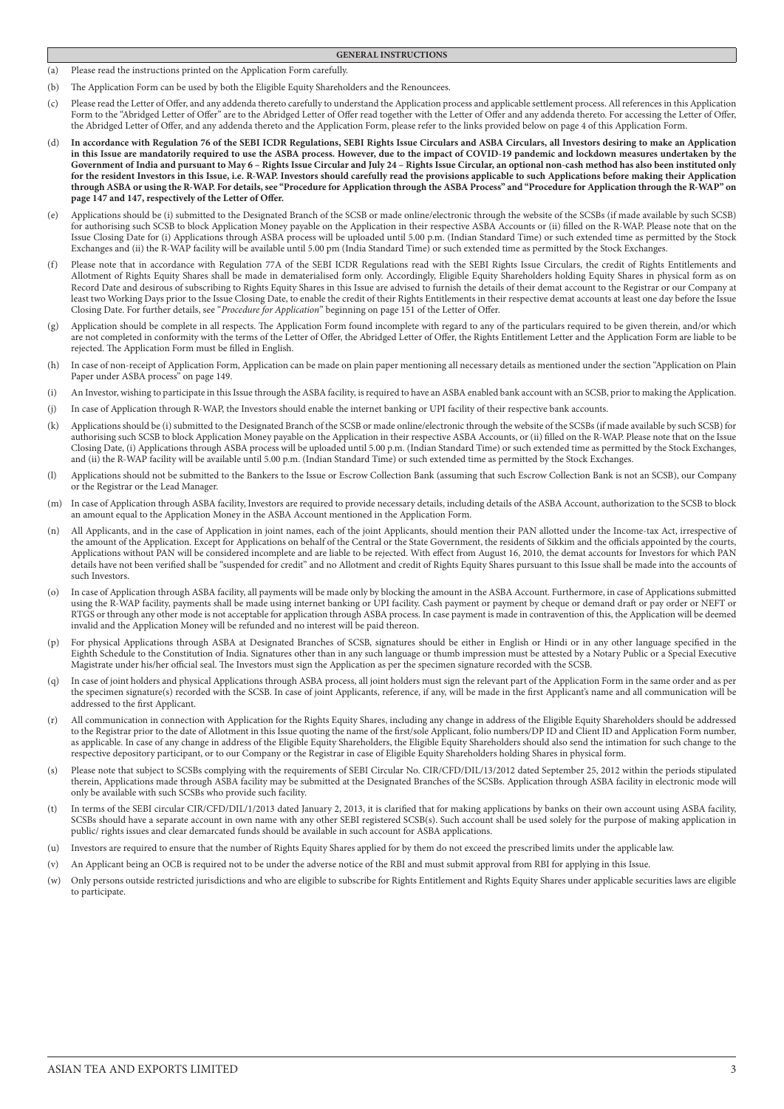- **GENERAL INSTRUCTIONS**
- (a) Please read the instructions printed on the Application Form carefully.
- (b) The Application Form can be used by both the Eligible Equity Shareholders and the Renouncees.
- (c) Please read the Letter of Offer, and any addenda thereto carefully to understand the Application process and applicable settlement process. All references in this Application Form to the "Abridged Letter of Offer" are to the Abridged Letter of Offer read together with the Letter of Offer and any addenda thereto. For accessing the Letter of Offer, the Abridged Letter of Offer, and any addenda thereto and the Application Form, please refer to the links provided below on page 4 of this Application Form.
- In accordance with Regulation 76 of the SEBI ICDR Regulations, SEBI Rights Issue Circulars and ASBA Circulars, all Investors desiring to make an Application **in this Issue are mandatorily required to use the ASBA process. However, due to the impact of COVID-19 pandemic and lockdown measures undertaken by the Government of India and pursuant to May 6 – Rights Issue Circular and July 24 – Rights Issue Circular, an optional non-cash method has also been instituted only for the resident Investors in this Issue, i.e. R-WAP. Investors should carefully read the provisions applicable to such Applications before making their Application through ASBA or using the R-WAP. For details, see "Procedure for Application through the ASBA Process" and "Procedure for Application through the R-WAP" on page 147 and 147, respectively of the Letter of Offer.**
- (e) Applications should be (i) submitted to the Designated Branch of the SCSB or made online/electronic through the website of the SCSBs (if made available by such SCSB) for authorising such SCSB to block Application Money payable on the Application in their respective ASBA Accounts or (ii) filled on the R-WAP. Please note that on the Issue Closing Date for (i) Applications through ASBA process will be uploaded until 5.00 p.m. (Indian Standard Time) or such extended time as permitted by the Stock Exchanges and (ii) the R-WAP facility will be available until 5.00 pm (India Standard Time) or such extended time as permitted by the Stock Exchanges.
- (f) Please note that in accordance with Regulation 77A of the SEBI ICDR Regulations read with the SEBI Rights Issue Circulars, the credit of Rights Entitlements and Allotment of Rights Equity Shares shall be made in dematerialised form only. Accordingly, Eligible Equity Shareholders holding Equity Shares in physical form as on Record Date and desirous of subscribing to Rights Equity Shares in this Issue are advised to furnish the details of their demat account to the Registrar or our Company at least two Working Days prior to the Issue Closing Date, to enable the credit of their Rights Entitlements in their respective demat accounts at least one day before the Issue Closing Date. For further details, see "*Procedure for Application*" beginning on page 151 of the Letter of Offer.
- (g) Application should be complete in all respects. The Application Form found incomplete with regard to any of the particulars required to be given therein, and/or which are not completed in conformity with the terms of the Letter of Offer, the Abridged Letter of Offer, the Rights Entitlement Letter and the Application Form are liable to be rejected. The Application Form must be filled in English.
- In case of non-receipt of Application Form, Application can be made on plain paper mentioning all necessary details as mentioned under the section "Application on Plain Paper under ASBA process" on page 149.
- (i) An Investor, wishing to participate in this Issue through the ASBA facility, is required to have an ASBA enabled bank account with an SCSB, prior to making the Application.
- (j) In case of Application through R-WAP, the Investors should enable the internet banking or UPI facility of their respective bank accounts.
- (k) Applications should be (i) submitted to the Designated Branch of the SCSB or made online/electronic through the website of the SCSBs (if made available by such SCSB) for authorising such SCSB to block Application Money payable on the Application in their respective ASBA Accounts, or (ii) filled on the R-WAP. Please note that on the Issue Closing Date, (i) Applications through ASBA process will be uploaded until 5.00 p.m. (Indian Standard Time) or such extended time as permitted by the Stock Exchanges, and (ii) the R-WAP facility will be available until 5.00 p.m. (Indian Standard Time) or such extended time as permitted by the Stock Exchanges.
- (l) Applications should not be submitted to the Bankers to the Issue or Escrow Collection Bank (assuming that such Escrow Collection Bank is not an SCSB), our Company or the Registrar or the Lead Manager.
- (m) In case of Application through ASBA facility, Investors are required to provide necessary details, including details of the ASBA Account, authorization to the SCSB to block an amount equal to the Application Money in the ASBA Account mentioned in the Application Form.
- (n) All Applicants, and in the case of Application in joint names, each of the joint Applicants, should mention their PAN allotted under the Income-tax Act, irrespective of the amount of the Application. Except for Applications on behalf of the Central or the State Government, the residents of Sikkim and the officials appointed by the courts, Applications without PAN will be considered incomplete and are liable to be rejected. With effect from August 16, 2010, the demat accounts for Investors for which PAN details have not been verified shall be "suspended for credit" and no Allotment and credit of Rights Equity Shares pursuant to this Issue shall be made into the accounts of such Investors.
- (o) In case of Application through ASBA facility, all payments will be made only by blocking the amount in the ASBA Account. Furthermore, in case of Applications submitted using the R-WAP facility, payments shall be made using internet banking or UPI facility. Cash payment or payment by cheque or demand draft or pay order or NEFT or RTGS or through any other mode is not acceptable for application through ASBA process. In case payment is made in contravention of this, the Application will be deemed invalid and the Application Money will be refunded and no interest will be paid thereon.
- (p) For physical Applications through ASBA at Designated Branches of SCSB, signatures should be either in English or Hindi or in any other language specified in the Eighth Schedule to the Constitution of India. Signatures other than in any such language or thumb impression must be attested by a Notary Public or a Special Executive Magistrate under his/her official seal. The Investors must sign the Application as per the specimen signature recorded with the SCSB.
- (q) In case of joint holders and physical Applications through ASBA process, all joint holders must sign the relevant part of the Application Form in the same order and as per the specimen signature(s) recorded with the SCSB. In case of joint Applicants, reference, if any, will be made in the first Applicant's name and all communication will be addressed to the first Applicant.
- All communication in connection with Application for the Rights Equity Shares, including any change in address of the Eligible Equity Shareholders should be addressed to the Registrar prior to the date of Allotment in this Issue quoting the name of the first/sole Applicant, folio numbers/DP ID and Client ID and Application Form number, as applicable. In case of any change in address of the Eligible Equity Shareholders, the Eligible Equity Shareholders should also send the intimation for such change to the respective depository participant, or to our Company or the Registrar in case of Eligible Equity Shareholders holding Shares in physical form.
- (s) Please note that subject to SCSBs complying with the requirements of SEBI Circular No. CIR/CFD/DIL/13/2012 dated September 25, 2012 within the periods stipulated therein, Applications made through ASBA facility may be submitted at the Designated Branches of the SCSBs. Application through ASBA facility in electronic mode will only be available with such SCSBs who provide such facility.
- In terms of the SEBI circular CIR/CFD/DIL/1/2013 dated January 2, 2013, it is clarified that for making applications by banks on their own account using ASBA facility, SCSBs should have a separate account in own name with any other SEBI registered SCSB(s). Such account shall be used solely for the purpose of making application in public/ rights issues and clear demarcated funds should be available in such account for ASBA applications.
- (u) Investors are required to ensure that the number of Rights Equity Shares applied for by them do not exceed the prescribed limits under the applicable law.
- (v) An Applicant being an OCB is required not to be under the adverse notice of the RBI and must submit approval from RBI for applying in this Issue.
- (w) Only persons outside restricted jurisdictions and who are eligible to subscribe for Rights Entitlement and Rights Equity Shares under applicable securities laws are eligible to participate.